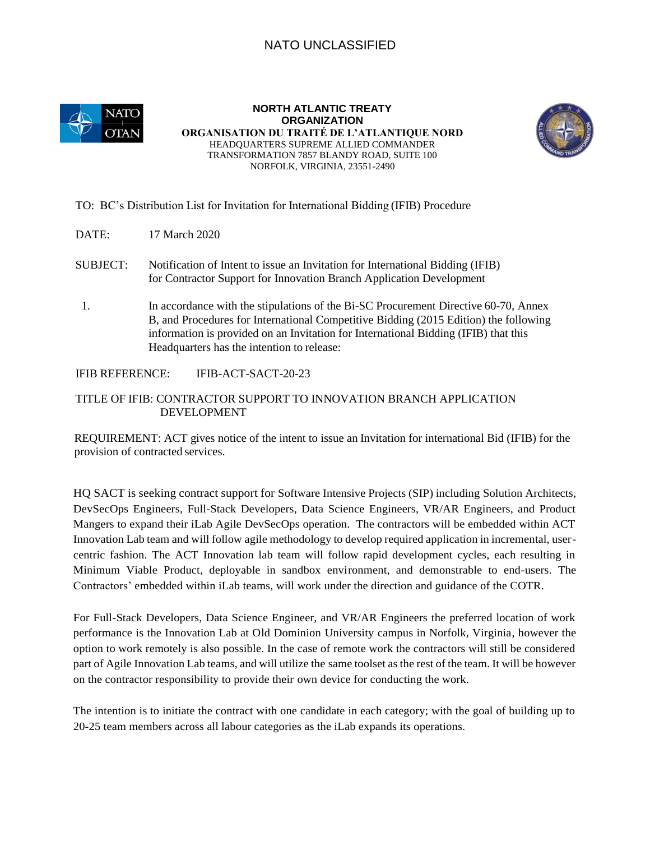## NATO UNCLASSIFIED



**NORTH ATLANTIC TREATY ORGANIZATION ORGANISATION DU TRAITÉ DE L'ATLANTIQUE NORD**  HEADQUARTERS SUPREME ALLIED COMMANDER TRANSFORMATION 7857 BLANDY ROAD, SUITE 100 NORFOLK, VIRGINIA, 23551-2490



## TO: BC's Distribution List for Invitation for International Bidding (IFIB) Procedure

- DATE: 17 March 2020
- SUBJECT: Notification of Intent to issue an Invitation for International Bidding (IFIB) for Contractor Support for Innovation Branch Application Development
- 1. In accordance with the stipulations of the Bi-SC Procurement Directive 60-70, Annex B, and Procedures for International Competitive Bidding (2015 Edition) the following information is provided on an Invitation for International Bidding (IFIB) that this Headquarters has the intention to release:

IFIB REFERENCE: IFIB-ACT-SACT-20-23

## TITLE OF IFIB: CONTRACTOR SUPPORT TO INNOVATION BRANCH APPLICATION DEVELOPMENT

REQUIREMENT: ACT gives notice of the intent to issue an Invitation for international Bid (IFIB) for the provision of contracted services.

HQ SACT is seeking contract support for Software Intensive Projects (SIP) including Solution Architects, DevSecOps Engineers, Full-Stack Developers, Data Science Engineers, VR/AR Engineers, and Product Mangers to expand their iLab Agile DevSecOps operation. The contractors will be embedded within ACT Innovation Lab team and will follow agile methodology to develop required application in incremental, usercentric fashion. The ACT Innovation lab team will follow rapid development cycles, each resulting in Minimum Viable Product, deployable in sandbox environment, and demonstrable to end-users. The Contractors' embedded within iLab teams, will work under the direction and guidance of the COTR.

For Full-Stack Developers, Data Science Engineer, and VR/AR Engineers the preferred location of work performance is the Innovation Lab at Old Dominion University campus in Norfolk, Virginia, however the option to work remotely is also possible. In the case of remote work the contractors will still be considered part of Agile Innovation Lab teams, and will utilize the same toolset as the rest of the team. It will be however on the contractor responsibility to provide their own device for conducting the work.

The intention is to initiate the contract with one candidate in each category; with the goal of building up to 20-25 team members across all labour categories as the iLab expands its operations.